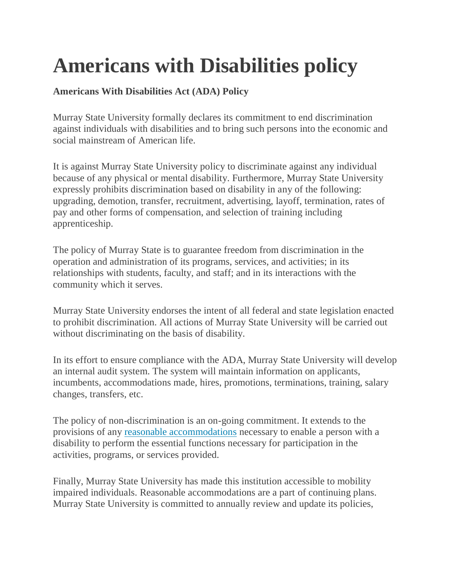## **Americans with Disabilities policy**

## **Americans With Disabilities Act (ADA) Policy**

Murray State University formally declares its commitment to end discrimination against individuals with disabilities and to bring such persons into the economic and social mainstream of American life.

It is against Murray State University policy to discriminate against any individual because of any physical or mental disability. Furthermore, Murray State University expressly prohibits discrimination based on disability in any of the following: upgrading, demotion, transfer, recruitment, advertising, layoff, termination, rates of pay and other forms of compensation, and selection of training including apprenticeship.

The policy of Murray State is to guarantee freedom from discrimination in the operation and administration of its programs, services, and activities; in its relationships with students, faculty, and staff; and in its interactions with the community which it serves.

Murray State University endorses the intent of all federal and state legislation enacted to prohibit discrimination. All actions of Murray State University will be carried out without discriminating on the basis of disability.

In its effort to ensure compliance with the ADA, Murray State University will develop an internal audit system. The system will maintain information on applicants, incumbents, accommodations made, hires, promotions, terminations, training, salary changes, transfers, etc.

The policy of non-discrimination is an on-going commitment. It extends to the provisions of any [reasonable accommodations](https://murraystate.edu/headermenu/administration/OfficeOfInstitutionalDiversityEquityandAccess/ReasonableAccommodationForms.aspx) necessary to enable a person with a disability to perform the essential functions necessary for participation in the activities, programs, or services provided.

Finally, Murray State University has made this institution accessible to mobility impaired individuals. Reasonable accommodations are a part of continuing plans. Murray State University is committed to annually review and update its policies,